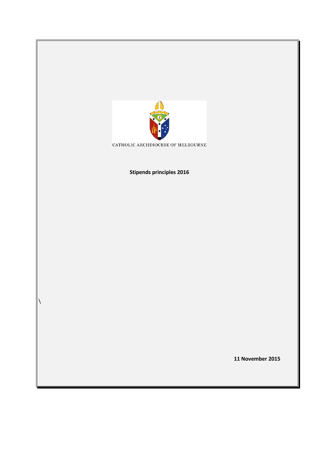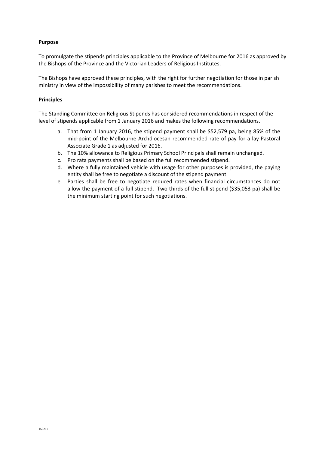## **Purpose**

To promulgate the stipends principles applicable to the Province of Melbourne for 2016 as approved by the Bishops of the Province and the Victorian Leaders of Religious Institutes.

The Bishops have approved these principles, with the right for further negotiation for those in parish ministry in view of the impossibility of many parishes to meet the recommendations.

## **Principles**

The Standing Committee on Religious Stipends has considered recommendations in respect of the level of stipends applicable from 1 January 2016 and makes the following recommendations.

- a. That from 1 January 2016, the stipend payment shall be \$52,579 pa, being 85% of the mid-point of the Melbourne Archdiocesan recommended rate of pay for a lay Pastoral Associate Grade 1 as adjusted for 2016.
- b. The 10% allowance to Religious Primary School Principals shall remain unchanged.
- c. Pro rata payments shall be based on the full recommended stipend.
- d. Where a fully maintained vehicle with usage for other purposes is provided, the paying entity shall be free to negotiate a discount of the stipend payment.
- e. Parties shall be free to negotiate reduced rates when financial circumstances do not allow the payment of a full stipend. Two thirds of the full stipend (\$35,053 pa) shall be the minimum starting point for such negotiations.